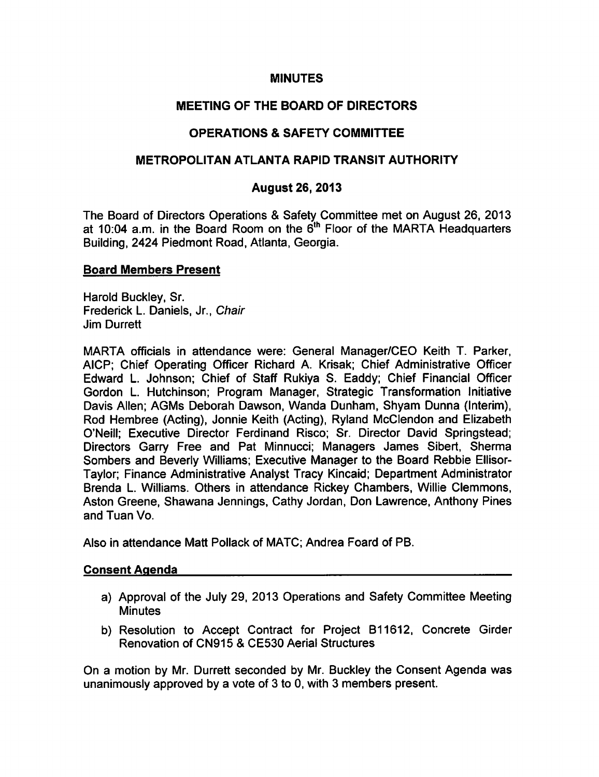### **MINUTES**

# MEETING OF THE BOARD OF DIRECTORS

# OPERATIONS & SAFETY COMMITTEE

## METROPOLITAN ATLANTA RAPID TRANSIT AUTHORITY

## August 26, 2013

The Board of Directors Operations & Safety Committee met on August 26, 2013 at 10:04 a.m. in the Board Room on the  $6<sup>th</sup>$  Floor of the MARTA Headquarters Building, 2424 Piedmont Road, Atlanta, Georgia.

### Board Members Present

Harold Buckley, Sr. Frederick L. Daniels, Jr., Chair Jim Durrett

MARTA officials in attendance were: General Manager/CEO Keith T. Parker, AICP; Chief Operating Officer Richard A. Krisak; Chief Administrative Officer Edward L. Johnson; Chief of Staff Rukiya S. Eaddy; Chief Financial Officer Gordon L. Hutchinson; Program Manager, Strategic Transformation Initiative Davis Allen; AGMs Deborah Dawson, Wanda Dunham, Shyam Dunna (Interim), Rod Hembree (Acting), Jonnie Keith (Acting), Ryland McClendon and Elizabeth O'Neill; Executive Director Ferdinand Risco; Sr. Director David Springstead; Directors Garry Free and Pat Minnucci; Managers James Sibert, Sherma Sombers and Beverly Williams; Executive Manager to the Board Rebbie Ellisor-Taylor; Finance Administrative Analyst Tracy Kincaid; Department Administrator Brenda L. Williams. Others in attendance Rickey Chambers, Willie Clemmons, Aston Greene, Shawana Jennings, Cathy Jordan, Don Lawrence, Anthony Pines and Tuan Vo.

Also in attendance Matt Pollack of MATC; Andrea Foard of PB.

#### Consent Agenda

- a) Approval of the July 29, 2013 Operations and Safety Committee Meeting **Minutes**
- b) Resolution to Accept Contract for Project B11612, Concrete Girder Renovation of CN915 & CE530 Aerial Structures

On a motion by Mr. Durrett seconded by Mr. Buckley the Consent Agenda was unanimously approved by a vote of  $3$  to  $0$ , with  $3$  members present.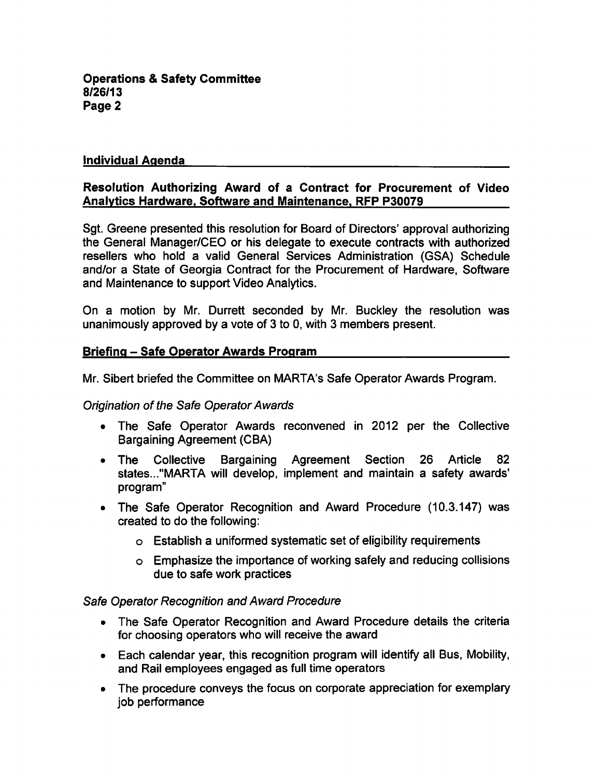**Operations & Safety Committee** 8/26/13 Page 2

### Individual Agenda

## Resolution Authorizing Award of a Contract for Procurement of Video Analytics Hardware. Software and Maintenance. RFP P30079

Sgt. Greene presented this resolution for Board of Directors' approval authorizing the General Manager/CEO or his delegate to execute contracts with authorized resellers who hold a valid General Services Administration (GSA) Schedule and/or a State of Georgia Contract for the Procurement of Hardware, Software and Maintenance to support Video Analytics.

On a motion by Mr. Durrett seconded by Mr. Buckley the resolution was unanimously approved by a vote of 3 to 0, with 3 members present.

### Briefing - Safe Operator Awards Program

Mr. Sibert briefed the Committee on MARTA's Safe Operator Awards Program.

#### Origination of the Safe Operator Awards

- The Safe Operator Awards reconvened in 2012 per the Collective Bargaining Agreement (CBA)
- The Collective Bargaining Agreement Section 26 Article 82 states..."MARTA will develop, implement and maintain a safety awards' program"
- The Safe Operator Recognition and Award Procedure (10.3.147) was created to do the following:
	- $\circ$  Establish a uniformed systematic set of eligibility requirements
	- Emphasize the importance of working safely and reducing collisions due to safe work practices

### Safe Operator Recognition and Award Procedure

- The Safe Operator Recognition and Award Procedure details the criteria for choosing operators who will receive the award
- Each calendar year, this recognition program will identify all Bus, Mobility, and Rail employees engaged as full time operators
- The procedure conveys the focus on corporate appreciation for exemplary job performance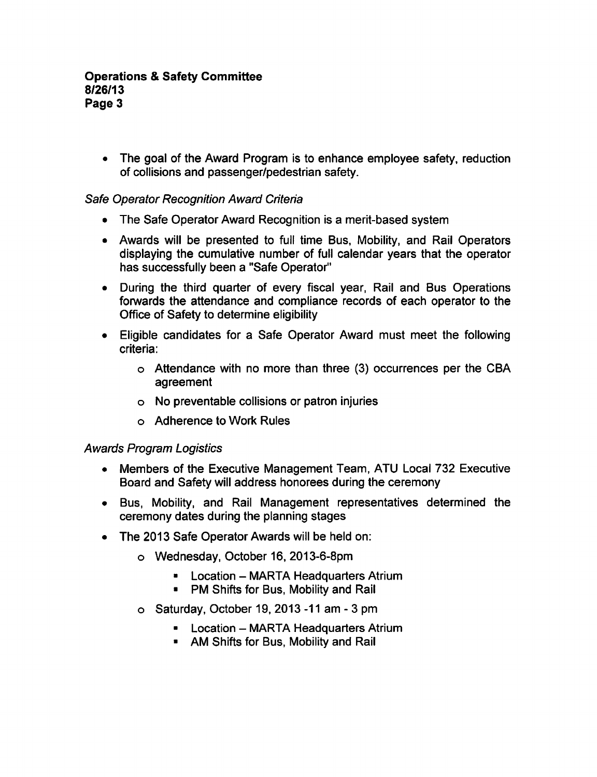• The goal of the Award Program is to enhance employee safety, reduction of collisions and passenger/pedestrian safety.

## Safe Operator Recognition Award Criteria

- The Safe Operator Award Recognition is a merit-based system
- Awards will be presented to full time Bus, Mobility, and Rail Operators displaying the cumulative number of full calendar years that the operator has successfully been a "Safe Operator"
- During the third quarter of every fiscal year, Rail and Bus Operations forwards the attendance and compliance records of each operator to the Office of Safety to determine eligibility
- Eligible candidates for a Safe Operator Award must meet the following criteria:
	- Attendance with no more than three (3) occurrences per the CBA agreement
	- No preventable collisions or patron injuries
	- Adherence to Work Rules

## Awards Program Logistics

- Members of the Executive Management Team, ATU Local 732 Executive Board and Safety will address honorees during the ceremony
- Bus, Mobility, and Rail Management representatives determined the ceremony dates during the planning stages
- The 2013 Safe Operator Awards will be held on:
	- Wednesday, October 16, 2013-6-8pm
		- **E.** Location MARTA Headquarters Atrium
		- **PM Shifts for Bus, Mobility and Rail**
	- $\circ$  Saturday, October 19, 2013 -11 am 3 pm
		- Location MARTA Headquarters Atrium
		- **AM Shifts for Bus, Mobility and Rail**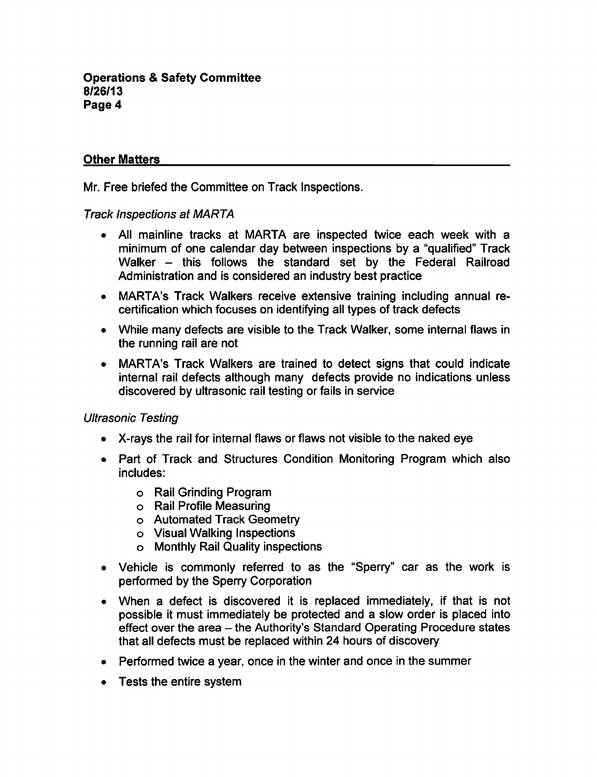# Other Matters

Mr. Free briefed the Committee on Track Inspections.

### Track Inspections at MARTA

- All mainline tracks at MARTA are inspected twice each week with a minimum of one calendar day between inspections by a "qualified" Track Walker – this follows the standard set by the Federal Railroad Administration and is considered an industry best practice
- MARTA's Track Walkers receive extensive training including annual recertification which focuses on identifying all types of track defects
- While many defects are visible to the Track Walker, some internal flaws in the running rail are not
- MARTA's Track Walkers are trained to detect signs that could indicate  $\bullet$ internal rail defects although many defects provide no indications unless discovered by ultrasonic rail testing or fails in service

## Ultrasonic Testing

- X-rays the rail for internal flaws or flaws not visible to the naked eye
- Part of Track and Structures Condition Monitoring Program which also includes:
	- Rail Grinding Program
	- Rail Profile Measuring
	- o Automated Track Geometry
	- Visual Walking Inspections
	- Monthly Rail Quality inspections
- Vehicle is commonly referred to as the "Sperry" car as the work is performed by the Sperry Corporation
- When a defect is discovered it is replaced immediately, if that is not possible it must immediately be protected and slow order is placed into effect over the area - the Authority's Standard Operating Procedure states that all defects must be replaced within 24 hours of discovery
- Performed twice a year, once in the winter and once in the summer
- Tests the entire system